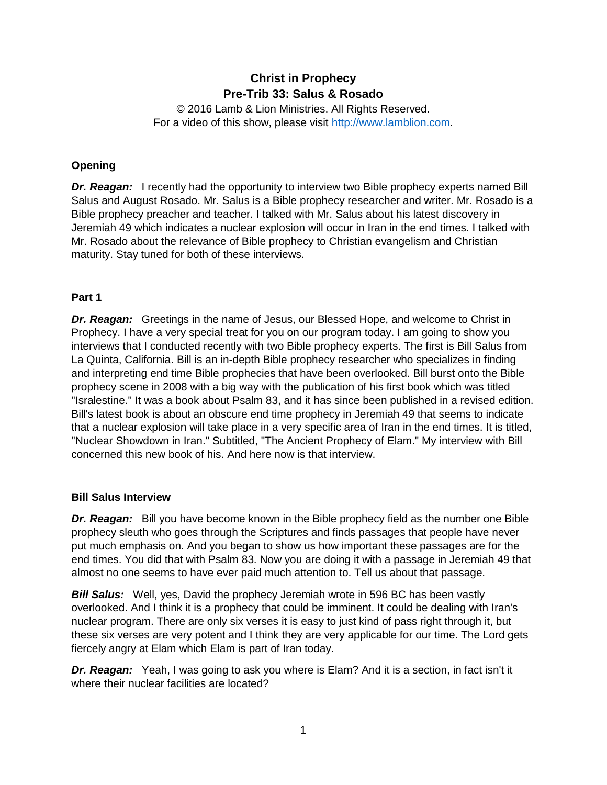# **Christ in Prophecy Pre-Trib 33: Salus & Rosado**

© 2016 Lamb & Lion Ministries. All Rights Reserved. For a video of this show, please visit [http://www.lamblion.com.](http://www.lamblion.com/)

## **Opening**

**Dr. Reagan:** I recently had the opportunity to interview two Bible prophecy experts named Bill Salus and August Rosado. Mr. Salus is a Bible prophecy researcher and writer. Mr. Rosado is a Bible prophecy preacher and teacher. I talked with Mr. Salus about his latest discovery in Jeremiah 49 which indicates a nuclear explosion will occur in Iran in the end times. I talked with Mr. Rosado about the relevance of Bible prophecy to Christian evangelism and Christian maturity. Stay tuned for both of these interviews.

## **Part 1**

*Dr. Reagan:* Greetings in the name of Jesus, our Blessed Hope, and welcome to Christ in Prophecy. I have a very special treat for you on our program today. I am going to show you interviews that I conducted recently with two Bible prophecy experts. The first is Bill Salus from La Quinta, California. Bill is an in-depth Bible prophecy researcher who specializes in finding and interpreting end time Bible prophecies that have been overlooked. Bill burst onto the Bible prophecy scene in 2008 with a big way with the publication of his first book which was titled "Isralestine." It was a book about Psalm 83, and it has since been published in a revised edition. Bill's latest book is about an obscure end time prophecy in Jeremiah 49 that seems to indicate that a nuclear explosion will take place in a very specific area of Iran in the end times. It is titled, "Nuclear Showdown in Iran." Subtitled, "The Ancient Prophecy of Elam." My interview with Bill concerned this new book of his. And here now is that interview.

## **Bill Salus Interview**

*Dr. Reagan:* Bill you have become known in the Bible prophecy field as the number one Bible prophecy sleuth who goes through the Scriptures and finds passages that people have never put much emphasis on. And you began to show us how important these passages are for the end times. You did that with Psalm 83. Now you are doing it with a passage in Jeremiah 49 that almost no one seems to have ever paid much attention to. Tell us about that passage.

*Bill Salus:* Well, yes, David the prophecy Jeremiah wrote in 596 BC has been vastly overlooked. And I think it is a prophecy that could be imminent. It could be dealing with Iran's nuclear program. There are only six verses it is easy to just kind of pass right through it, but these six verses are very potent and I think they are very applicable for our time. The Lord gets fiercely angry at Elam which Elam is part of Iran today.

*Dr. Reagan:* Yeah, I was going to ask you where is Elam? And it is a section, in fact isn't it where their nuclear facilities are located?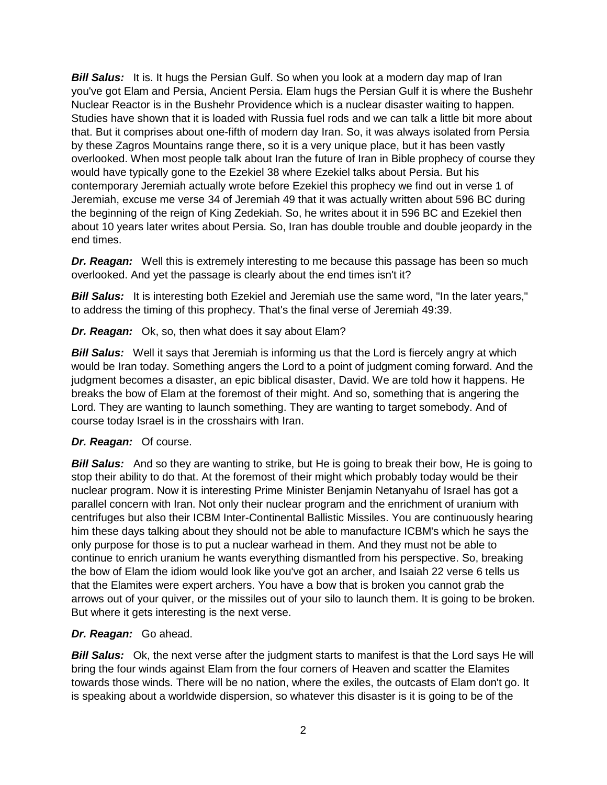**Bill Salus:** It is. It hugs the Persian Gulf. So when you look at a modern day map of Iran you've got Elam and Persia, Ancient Persia. Elam hugs the Persian Gulf it is where the Bushehr Nuclear Reactor is in the Bushehr Providence which is a nuclear disaster waiting to happen. Studies have shown that it is loaded with Russia fuel rods and we can talk a little bit more about that. But it comprises about one-fifth of modern day Iran. So, it was always isolated from Persia by these Zagros Mountains range there, so it is a very unique place, but it has been vastly overlooked. When most people talk about Iran the future of Iran in Bible prophecy of course they would have typically gone to the Ezekiel 38 where Ezekiel talks about Persia. But his contemporary Jeremiah actually wrote before Ezekiel this prophecy we find out in verse 1 of Jeremiah, excuse me verse 34 of Jeremiah 49 that it was actually written about 596 BC during the beginning of the reign of King Zedekiah. So, he writes about it in 596 BC and Ezekiel then about 10 years later writes about Persia. So, Iran has double trouble and double jeopardy in the end times.

**Dr. Reagan:** Well this is extremely interesting to me because this passage has been so much overlooked. And yet the passage is clearly about the end times isn't it?

**Bill Salus:** It is interesting both Ezekiel and Jeremiah use the same word, "In the later years," to address the timing of this prophecy. That's the final verse of Jeremiah 49:39.

*Dr. Reagan:* Ok, so, then what does it say about Elam?

**Bill Salus:** Well it says that Jeremiah is informing us that the Lord is fiercely angry at which would be Iran today. Something angers the Lord to a point of judgment coming forward. And the judgment becomes a disaster, an epic biblical disaster, David. We are told how it happens. He breaks the bow of Elam at the foremost of their might. And so, something that is angering the Lord. They are wanting to launch something. They are wanting to target somebody. And of course today Israel is in the crosshairs with Iran.

# *Dr. Reagan:* Of course.

*Bill Salus:* And so they are wanting to strike, but He is going to break their bow, He is going to stop their ability to do that. At the foremost of their might which probably today would be their nuclear program. Now it is interesting Prime Minister Benjamin Netanyahu of Israel has got a parallel concern with Iran. Not only their nuclear program and the enrichment of uranium with centrifuges but also their ICBM Inter-Continental Ballistic Missiles. You are continuously hearing him these days talking about they should not be able to manufacture ICBM's which he says the only purpose for those is to put a nuclear warhead in them. And they must not be able to continue to enrich uranium he wants everything dismantled from his perspective. So, breaking the bow of Elam the idiom would look like you've got an archer, and Isaiah 22 verse 6 tells us that the Elamites were expert archers. You have a bow that is broken you cannot grab the arrows out of your quiver, or the missiles out of your silo to launch them. It is going to be broken. But where it gets interesting is the next verse.

## *Dr. Reagan:* Go ahead.

**Bill Salus:** Ok, the next verse after the judgment starts to manifest is that the Lord says He will bring the four winds against Elam from the four corners of Heaven and scatter the Elamites towards those winds. There will be no nation, where the exiles, the outcasts of Elam don't go. It is speaking about a worldwide dispersion, so whatever this disaster is it is going to be of the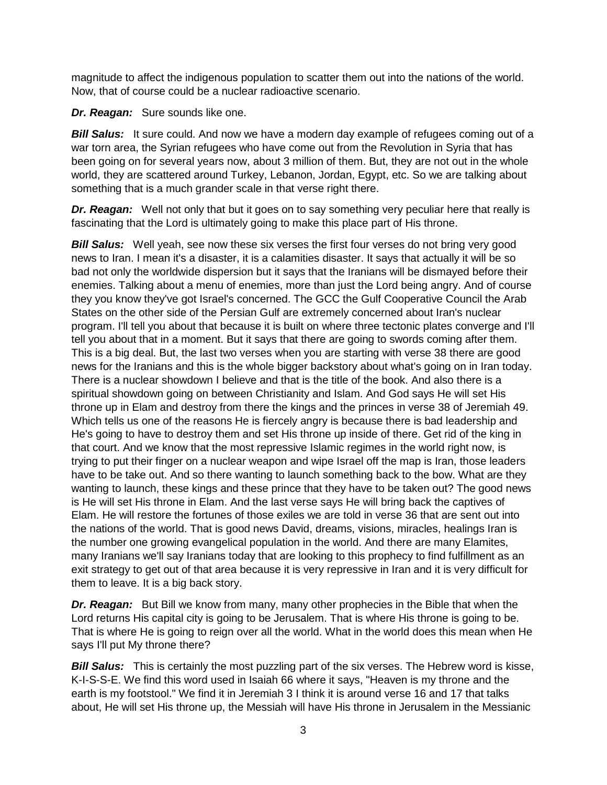magnitude to affect the indigenous population to scatter them out into the nations of the world. Now, that of course could be a nuclear radioactive scenario.

*Dr. Reagan:* Sure sounds like one.

**Bill Salus:** It sure could. And now we have a modern day example of refugees coming out of a war torn area, the Syrian refugees who have come out from the Revolution in Syria that has been going on for several years now, about 3 million of them. But, they are not out in the whole world, they are scattered around Turkey, Lebanon, Jordan, Egypt, etc. So we are talking about something that is a much grander scale in that verse right there.

*Dr. Reagan:* Well not only that but it goes on to say something very peculiar here that really is fascinating that the Lord is ultimately going to make this place part of His throne.

**Bill Salus:** Well yeah, see now these six verses the first four verses do not bring very good news to Iran. I mean it's a disaster, it is a calamities disaster. It says that actually it will be so bad not only the worldwide dispersion but it says that the Iranians will be dismayed before their enemies. Talking about a menu of enemies, more than just the Lord being angry. And of course they you know they've got Israel's concerned. The GCC the Gulf Cooperative Council the Arab States on the other side of the Persian Gulf are extremely concerned about Iran's nuclear program. I'll tell you about that because it is built on where three tectonic plates converge and I'll tell you about that in a moment. But it says that there are going to swords coming after them. This is a big deal. But, the last two verses when you are starting with verse 38 there are good news for the Iranians and this is the whole bigger backstory about what's going on in Iran today. There is a nuclear showdown I believe and that is the title of the book. And also there is a spiritual showdown going on between Christianity and Islam. And God says He will set His throne up in Elam and destroy from there the kings and the princes in verse 38 of Jeremiah 49. Which tells us one of the reasons He is fiercely angry is because there is bad leadership and He's going to have to destroy them and set His throne up inside of there. Get rid of the king in that court. And we know that the most repressive Islamic regimes in the world right now, is trying to put their finger on a nuclear weapon and wipe Israel off the map is Iran, those leaders have to be take out. And so there wanting to launch something back to the bow. What are they wanting to launch, these kings and these prince that they have to be taken out? The good news is He will set His throne in Elam. And the last verse says He will bring back the captives of Elam. He will restore the fortunes of those exiles we are told in verse 36 that are sent out into the nations of the world. That is good news David, dreams, visions, miracles, healings Iran is the number one growing evangelical population in the world. And there are many Elamites, many Iranians we'll say Iranians today that are looking to this prophecy to find fulfillment as an exit strategy to get out of that area because it is very repressive in Iran and it is very difficult for them to leave. It is a big back story.

*Dr. Reagan:* But Bill we know from many, many other prophecies in the Bible that when the Lord returns His capital city is going to be Jerusalem. That is where His throne is going to be. That is where He is going to reign over all the world. What in the world does this mean when He says I'll put My throne there?

**Bill Salus:** This is certainly the most puzzling part of the six verses. The Hebrew word is kisse, K-I-S-S-E. We find this word used in Isaiah 66 where it says, "Heaven is my throne and the earth is my footstool." We find it in Jeremiah 3 I think it is around verse 16 and 17 that talks about, He will set His throne up, the Messiah will have His throne in Jerusalem in the Messianic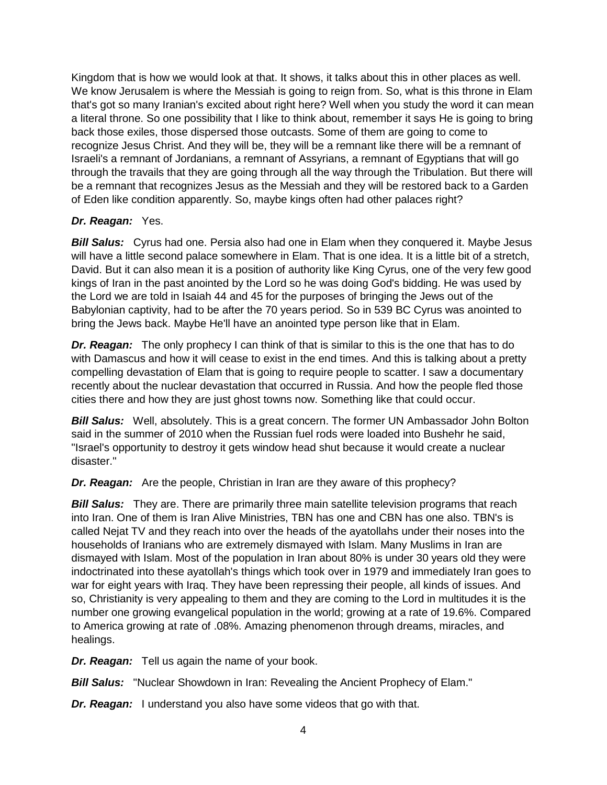Kingdom that is how we would look at that. It shows, it talks about this in other places as well. We know Jerusalem is where the Messiah is going to reign from. So, what is this throne in Elam that's got so many Iranian's excited about right here? Well when you study the word it can mean a literal throne. So one possibility that I like to think about, remember it says He is going to bring back those exiles, those dispersed those outcasts. Some of them are going to come to recognize Jesus Christ. And they will be, they will be a remnant like there will be a remnant of Israeli's a remnant of Jordanians, a remnant of Assyrians, a remnant of Egyptians that will go through the travails that they are going through all the way through the Tribulation. But there will be a remnant that recognizes Jesus as the Messiah and they will be restored back to a Garden of Eden like condition apparently. So, maybe kings often had other palaces right?

## *Dr. Reagan:* Yes.

**Bill Salus:** Cyrus had one. Persia also had one in Elam when they conquered it. Maybe Jesus will have a little second palace somewhere in Elam. That is one idea. It is a little bit of a stretch, David. But it can also mean it is a position of authority like King Cyrus, one of the very few good kings of Iran in the past anointed by the Lord so he was doing God's bidding. He was used by the Lord we are told in Isaiah 44 and 45 for the purposes of bringing the Jews out of the Babylonian captivity, had to be after the 70 years period. So in 539 BC Cyrus was anointed to bring the Jews back. Maybe He'll have an anointed type person like that in Elam.

*Dr. Reagan:* The only prophecy I can think of that is similar to this is the one that has to do with Damascus and how it will cease to exist in the end times. And this is talking about a pretty compelling devastation of Elam that is going to require people to scatter. I saw a documentary recently about the nuclear devastation that occurred in Russia. And how the people fled those cities there and how they are just ghost towns now. Something like that could occur.

**Bill Salus:** Well, absolutely. This is a great concern. The former UN Ambassador John Bolton said in the summer of 2010 when the Russian fuel rods were loaded into Bushehr he said, "Israel's opportunity to destroy it gets window head shut because it would create a nuclear disaster."

*Dr. Reagan:* Are the people, Christian in Iran are they aware of this prophecy?

**Bill Salus:** They are. There are primarily three main satellite television programs that reach into Iran. One of them is Iran Alive Ministries, TBN has one and CBN has one also. TBN's is called Nejat TV and they reach into over the heads of the ayatollahs under their noses into the households of Iranians who are extremely dismayed with Islam. Many Muslims in Iran are dismayed with Islam. Most of the population in Iran about 80% is under 30 years old they were indoctrinated into these ayatollah's things which took over in 1979 and immediately Iran goes to war for eight years with Iraq. They have been repressing their people, all kinds of issues. And so, Christianity is very appealing to them and they are coming to the Lord in multitudes it is the number one growing evangelical population in the world; growing at a rate of 19.6%. Compared to America growing at rate of .08%. Amazing phenomenon through dreams, miracles, and healings.

*Dr. Reagan:* Tell us again the name of your book.

*Bill Salus:* "Nuclear Showdown in Iran: Revealing the Ancient Prophecy of Elam."

*Dr. Reagan:* I understand you also have some videos that go with that.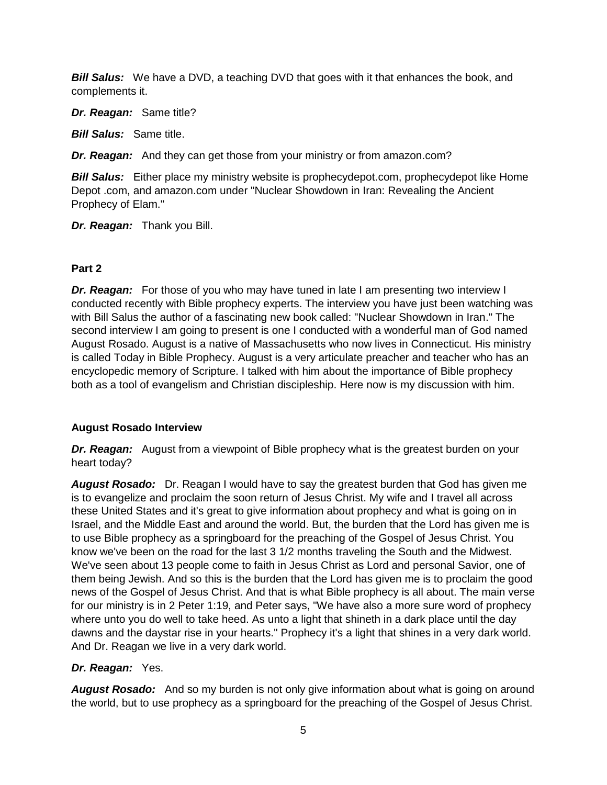*Bill Salus:* We have a DVD, a teaching DVD that goes with it that enhances the book, and complements it.

*Dr. Reagan:* Same title?

*Bill Salus:* Same title.

*Dr. Reagan:* And they can get those from your ministry or from amazon.com?

*Bill Salus:* Either place my ministry website is prophecydepot.com, prophecydepot like Home Depot .com, and amazon.com under "Nuclear Showdown in Iran: Revealing the Ancient Prophecy of Elam."

*Dr. Reagan:* Thank you Bill.

## **Part 2**

*Dr. Reagan:* For those of you who may have tuned in late I am presenting two interview I conducted recently with Bible prophecy experts. The interview you have just been watching was with Bill Salus the author of a fascinating new book called: "Nuclear Showdown in Iran." The second interview I am going to present is one I conducted with a wonderful man of God named August Rosado. August is a native of Massachusetts who now lives in Connecticut. His ministry is called Today in Bible Prophecy. August is a very articulate preacher and teacher who has an encyclopedic memory of Scripture. I talked with him about the importance of Bible prophecy both as a tool of evangelism and Christian discipleship. Here now is my discussion with him.

## **August Rosado Interview**

*Dr. Reagan:* August from a viewpoint of Bible prophecy what is the greatest burden on your heart today?

*August Rosado:* Dr. Reagan I would have to say the greatest burden that God has given me is to evangelize and proclaim the soon return of Jesus Christ. My wife and I travel all across these United States and it's great to give information about prophecy and what is going on in Israel, and the Middle East and around the world. But, the burden that the Lord has given me is to use Bible prophecy as a springboard for the preaching of the Gospel of Jesus Christ. You know we've been on the road for the last 3 1/2 months traveling the South and the Midwest. We've seen about 13 people come to faith in Jesus Christ as Lord and personal Savior, one of them being Jewish. And so this is the burden that the Lord has given me is to proclaim the good news of the Gospel of Jesus Christ. And that is what Bible prophecy is all about. The main verse for our ministry is in 2 Peter 1:19, and Peter says, "We have also a more sure word of prophecy where unto you do well to take heed. As unto a light that shineth in a dark place until the day dawns and the daystar rise in your hearts." Prophecy it's a light that shines in a very dark world. And Dr. Reagan we live in a very dark world.

# *Dr. Reagan:* Yes.

*August Rosado:* And so my burden is not only give information about what is going on around the world, but to use prophecy as a springboard for the preaching of the Gospel of Jesus Christ.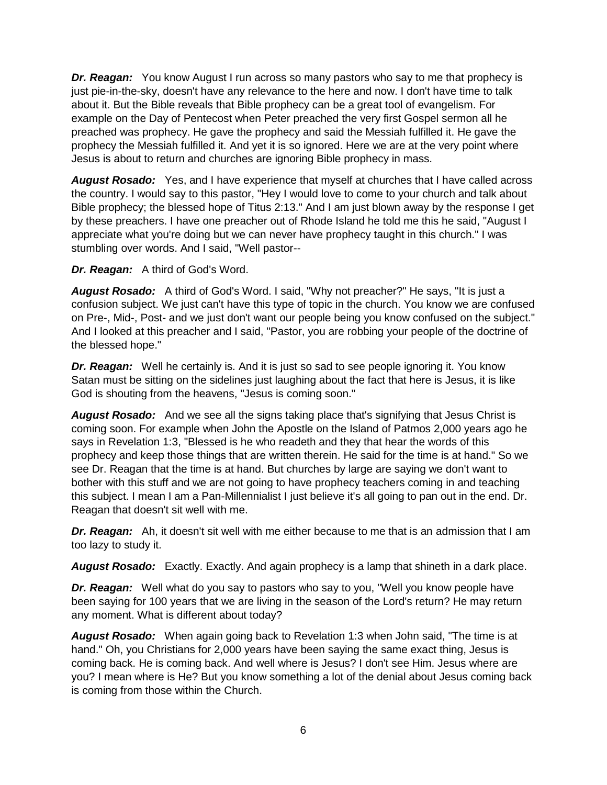*Dr. Reagan:* You know August I run across so many pastors who say to me that prophecy is just pie-in-the-sky, doesn't have any relevance to the here and now. I don't have time to talk about it. But the Bible reveals that Bible prophecy can be a great tool of evangelism. For example on the Day of Pentecost when Peter preached the very first Gospel sermon all he preached was prophecy. He gave the prophecy and said the Messiah fulfilled it. He gave the prophecy the Messiah fulfilled it. And yet it is so ignored. Here we are at the very point where Jesus is about to return and churches are ignoring Bible prophecy in mass.

*August Rosado:* Yes, and I have experience that myself at churches that I have called across the country. I would say to this pastor, "Hey I would love to come to your church and talk about Bible prophecy; the blessed hope of Titus 2:13." And I am just blown away by the response I get by these preachers. I have one preacher out of Rhode Island he told me this he said, "August I appreciate what you're doing but we can never have prophecy taught in this church." I was stumbling over words. And I said, "Well pastor--

*Dr. Reagan:* A third of God's Word.

*August Rosado:* A third of God's Word. I said, "Why not preacher?" He says, "It is just a confusion subject. We just can't have this type of topic in the church. You know we are confused on Pre-, Mid-, Post- and we just don't want our people being you know confused on the subject." And I looked at this preacher and I said, "Pastor, you are robbing your people of the doctrine of the blessed hope."

*Dr. Reagan:* Well he certainly is. And it is just so sad to see people ignoring it. You know Satan must be sitting on the sidelines just laughing about the fact that here is Jesus, it is like God is shouting from the heavens, "Jesus is coming soon."

*August Rosado:* And we see all the signs taking place that's signifying that Jesus Christ is coming soon. For example when John the Apostle on the Island of Patmos 2,000 years ago he says in Revelation 1:3, "Blessed is he who readeth and they that hear the words of this prophecy and keep those things that are written therein. He said for the time is at hand." So we see Dr. Reagan that the time is at hand. But churches by large are saying we don't want to bother with this stuff and we are not going to have prophecy teachers coming in and teaching this subject. I mean I am a Pan-Millennialist I just believe it's all going to pan out in the end. Dr. Reagan that doesn't sit well with me.

*Dr. Reagan:* Ah, it doesn't sit well with me either because to me that is an admission that I am too lazy to study it.

*August Rosado:* Exactly. Exactly. And again prophecy is a lamp that shineth in a dark place.

*Dr. Reagan:* Well what do you say to pastors who say to you, "Well you know people have been saying for 100 years that we are living in the season of the Lord's return? He may return any moment. What is different about today?

*August Rosado:* When again going back to Revelation 1:3 when John said, "The time is at hand." Oh, you Christians for 2,000 years have been saying the same exact thing, Jesus is coming back. He is coming back. And well where is Jesus? I don't see Him. Jesus where are you? I mean where is He? But you know something a lot of the denial about Jesus coming back is coming from those within the Church.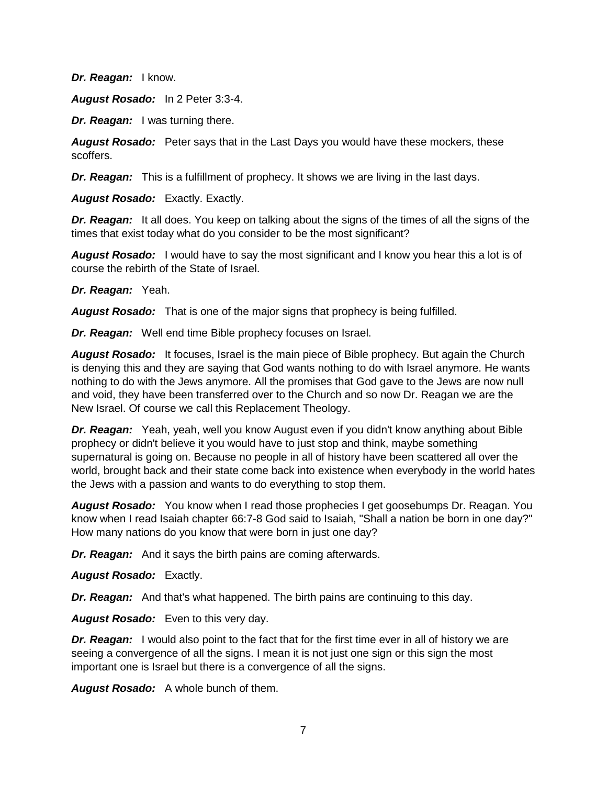*Dr. Reagan:* I know.

*August Rosado:* In 2 Peter 3:3-4.

*Dr. Reagan:* I was turning there.

*August Rosado:* Peter says that in the Last Days you would have these mockers, these scoffers.

*Dr. Reagan:* This is a fulfillment of prophecy. It shows we are living in the last days.

*August Rosado:* Exactly. Exactly.

*Dr. Reagan:* It all does. You keep on talking about the signs of the times of all the signs of the times that exist today what do you consider to be the most significant?

*August Rosado:* I would have to say the most significant and I know you hear this a lot is of course the rebirth of the State of Israel.

*Dr. Reagan:* Yeah.

*August Rosado:* That is one of the major signs that prophecy is being fulfilled.

*Dr. Reagan:* Well end time Bible prophecy focuses on Israel.

*August Rosado:* It focuses, Israel is the main piece of Bible prophecy. But again the Church is denying this and they are saying that God wants nothing to do with Israel anymore. He wants nothing to do with the Jews anymore. All the promises that God gave to the Jews are now null and void, they have been transferred over to the Church and so now Dr. Reagan we are the New Israel. Of course we call this Replacement Theology.

*Dr. Reagan:* Yeah, yeah, well you know August even if you didn't know anything about Bible prophecy or didn't believe it you would have to just stop and think, maybe something supernatural is going on. Because no people in all of history have been scattered all over the world, brought back and their state come back into existence when everybody in the world hates the Jews with a passion and wants to do everything to stop them.

*August Rosado:* You know when I read those prophecies I get goosebumps Dr. Reagan. You know when I read Isaiah chapter 66:7-8 God said to Isaiah, "Shall a nation be born in one day?" How many nations do you know that were born in just one day?

*Dr. Reagan:* And it says the birth pains are coming afterwards.

*August Rosado:* Exactly.

*Dr. Reagan:* And that's what happened. The birth pains are continuing to this day.

*August Rosado:* Even to this very day.

**Dr. Reagan:** I would also point to the fact that for the first time ever in all of history we are seeing a convergence of all the signs. I mean it is not just one sign or this sign the most important one is Israel but there is a convergence of all the signs.

*August Rosado:* A whole bunch of them.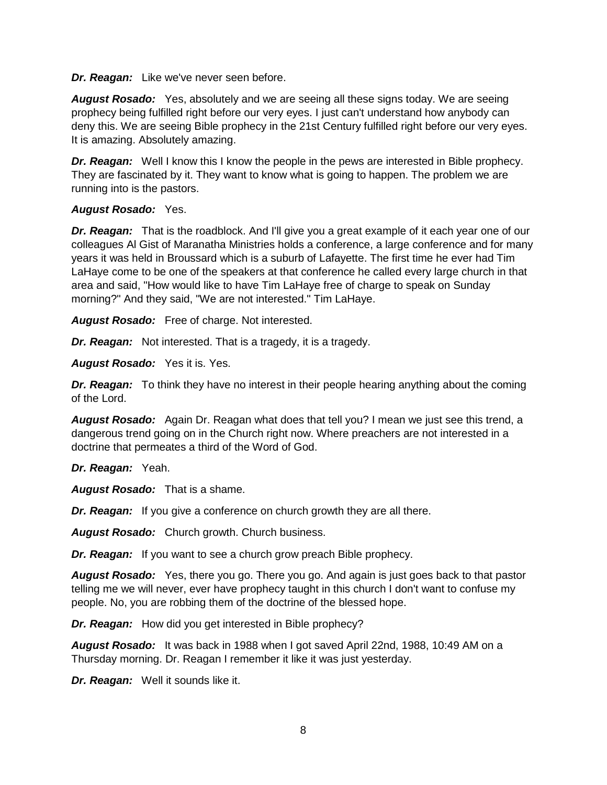*Dr. Reagan:* Like we've never seen before.

*August Rosado:* Yes, absolutely and we are seeing all these signs today. We are seeing prophecy being fulfilled right before our very eyes. I just can't understand how anybody can deny this. We are seeing Bible prophecy in the 21st Century fulfilled right before our very eyes. It is amazing. Absolutely amazing.

*Dr. Reagan:* Well I know this I know the people in the pews are interested in Bible prophecy. They are fascinated by it. They want to know what is going to happen. The problem we are running into is the pastors.

#### *August Rosado:* Yes.

*Dr. Reagan:* That is the roadblock. And I'll give you a great example of it each year one of our colleagues Al Gist of Maranatha Ministries holds a conference, a large conference and for many years it was held in Broussard which is a suburb of Lafayette. The first time he ever had Tim LaHaye come to be one of the speakers at that conference he called every large church in that area and said, "How would like to have Tim LaHaye free of charge to speak on Sunday morning?" And they said, "We are not interested." Tim LaHaye.

*August Rosado:* Free of charge. Not interested.

*Dr. Reagan:* Not interested. That is a tragedy, it is a tragedy.

*August Rosado:* Yes it is. Yes.

*Dr. Reagan:* To think they have no interest in their people hearing anything about the coming of the Lord.

*August Rosado:* Again Dr. Reagan what does that tell you? I mean we just see this trend, a dangerous trend going on in the Church right now. Where preachers are not interested in a doctrine that permeates a third of the Word of God.

*Dr. Reagan:* Yeah.

*August Rosado:* That is a shame.

*Dr. Reagan:* If you give a conference on church growth they are all there.

*August Rosado:* Church growth. Church business.

*Dr. Reagan:* If you want to see a church grow preach Bible prophecy.

*August Rosado:* Yes, there you go. There you go. And again is just goes back to that pastor telling me we will never, ever have prophecy taught in this church I don't want to confuse my people. No, you are robbing them of the doctrine of the blessed hope.

*Dr. Reagan:* How did you get interested in Bible prophecy?

*August Rosado:* It was back in 1988 when I got saved April 22nd, 1988, 10:49 AM on a Thursday morning. Dr. Reagan I remember it like it was just yesterday.

*Dr. Reagan:* Well it sounds like it.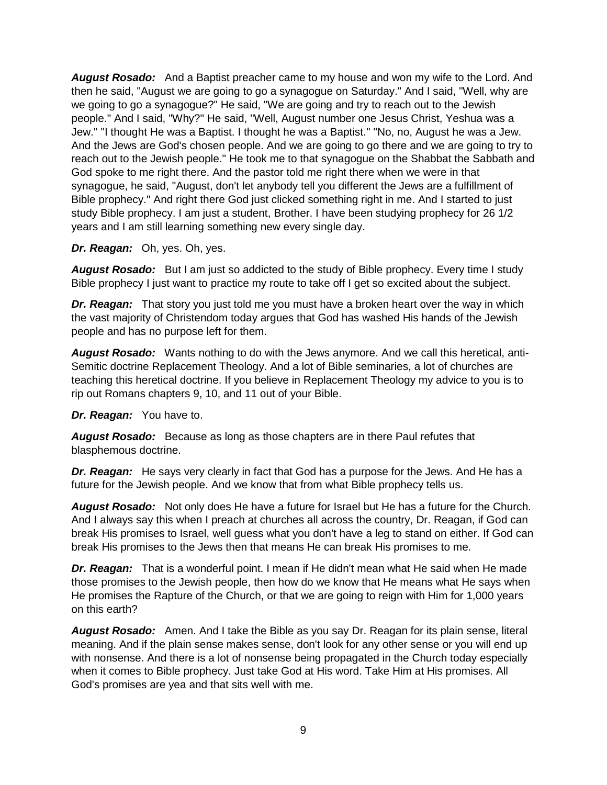*August Rosado:* And a Baptist preacher came to my house and won my wife to the Lord. And then he said, "August we are going to go a synagogue on Saturday." And I said, "Well, why are we going to go a synagogue?" He said, "We are going and try to reach out to the Jewish people." And I said, "Why?" He said, "Well, August number one Jesus Christ, Yeshua was a Jew." "I thought He was a Baptist. I thought he was a Baptist." "No, no, August he was a Jew. And the Jews are God's chosen people. And we are going to go there and we are going to try to reach out to the Jewish people." He took me to that synagogue on the Shabbat the Sabbath and God spoke to me right there. And the pastor told me right there when we were in that synagogue, he said, "August, don't let anybody tell you different the Jews are a fulfillment of Bible prophecy." And right there God just clicked something right in me. And I started to just study Bible prophecy. I am just a student, Brother. I have been studying prophecy for 26 1/2 years and I am still learning something new every single day.

#### *Dr. Reagan:* Oh, yes. Oh, yes.

*August Rosado:* But I am just so addicted to the study of Bible prophecy. Every time I study Bible prophecy I just want to practice my route to take off I get so excited about the subject.

**Dr. Reagan:** That story you just told me you must have a broken heart over the way in which the vast majority of Christendom today argues that God has washed His hands of the Jewish people and has no purpose left for them.

*August Rosado:* Wants nothing to do with the Jews anymore. And we call this heretical, anti-Semitic doctrine Replacement Theology. And a lot of Bible seminaries, a lot of churches are teaching this heretical doctrine. If you believe in Replacement Theology my advice to you is to rip out Romans chapters 9, 10, and 11 out of your Bible.

#### *Dr. Reagan:* You have to.

*August Rosado:* Because as long as those chapters are in there Paul refutes that blasphemous doctrine.

*Dr. Reagan:* He says very clearly in fact that God has a purpose for the Jews. And He has a future for the Jewish people. And we know that from what Bible prophecy tells us.

*August Rosado:* Not only does He have a future for Israel but He has a future for the Church. And I always say this when I preach at churches all across the country, Dr. Reagan, if God can break His promises to Israel, well guess what you don't have a leg to stand on either. If God can break His promises to the Jews then that means He can break His promises to me.

*Dr. Reagan:* That is a wonderful point. I mean if He didn't mean what He said when He made those promises to the Jewish people, then how do we know that He means what He says when He promises the Rapture of the Church, or that we are going to reign with Him for 1,000 years on this earth?

*August Rosado:* Amen. And I take the Bible as you say Dr. Reagan for its plain sense, literal meaning. And if the plain sense makes sense, don't look for any other sense or you will end up with nonsense. And there is a lot of nonsense being propagated in the Church today especially when it comes to Bible prophecy. Just take God at His word. Take Him at His promises. All God's promises are yea and that sits well with me.